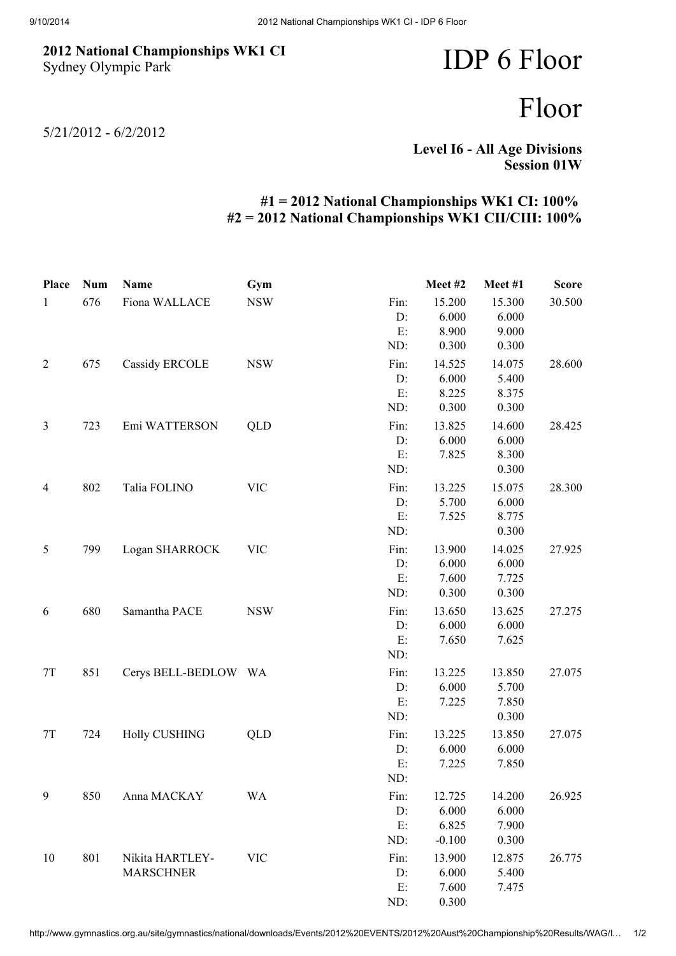## 2012 National Championships WK1 CI Sydney Olympic Park

## IDP 6 Floor

## Floor

5/21/2012 - 6/2/2012

Level I6 - All Age Divisions Session 01W

## #1 = 2012 National Championships WK1 CI: 100% #2 = 2012 National Championships WK1 CII/CIII: 100%

| Place          | <b>Num</b> | Name                  | Gym        |      | Meet #2  | Meet #1 | <b>Score</b> |
|----------------|------------|-----------------------|------------|------|----------|---------|--------------|
| $\mathbf{1}$   | 676        | Fiona WALLACE         | <b>NSW</b> | Fin: | 15.200   | 15.300  | 30.500       |
|                |            |                       |            | D:   | 6.000    | 6.000   |              |
|                |            |                       |            | E:   | 8.900    | 9.000   |              |
|                |            |                       |            | ND:  | 0.300    | 0.300   |              |
| $\overline{2}$ | 675        | <b>Cassidy ERCOLE</b> | <b>NSW</b> | Fin: | 14.525   | 14.075  | 28.600       |
|                |            |                       |            | D:   | 6.000    | 5.400   |              |
|                |            |                       |            | E:   | 8.225    | 8.375   |              |
|                |            |                       |            | ND:  | 0.300    | 0.300   |              |
| $\mathfrak{Z}$ | 723        | Emi WATTERSON         | QLD        | Fin: | 13.825   | 14.600  | 28.425       |
|                |            |                       |            | D:   | 6.000    | 6.000   |              |
|                |            |                       |            | E:   | 7.825    | 8.300   |              |
|                |            |                       |            | ND:  |          | 0.300   |              |
| $\overline{4}$ | 802        | Talia FOLINO          | <b>VIC</b> | Fin: | 13.225   | 15.075  | 28.300       |
|                |            |                       |            | D:   | 5.700    | 6.000   |              |
|                |            |                       |            | E:   | 7.525    | 8.775   |              |
|                |            |                       |            | ND:  |          | 0.300   |              |
| 5              | 799        | Logan SHARROCK        | <b>VIC</b> | Fin: | 13.900   | 14.025  | 27.925       |
|                |            |                       |            | D:   | 6.000    | 6.000   |              |
|                |            |                       |            | E:   | 7.600    | 7.725   |              |
|                |            |                       |            | ND:  | 0.300    | 0.300   |              |
| 6              | 680        | Samantha PACE         | <b>NSW</b> | Fin: | 13.650   | 13.625  | 27.275       |
|                |            |                       |            | D:   | 6.000    | 6.000   |              |
|                |            |                       |            | E:   | 7.650    | 7.625   |              |
|                |            |                       |            | ND:  |          |         |              |
| $7\mathrm{T}$  | 851        | Cerys BELL-BEDLOW WA  |            | Fin: | 13.225   | 13.850  | 27.075       |
|                |            |                       |            | D:   | 6.000    | 5.700   |              |
|                |            |                       |            | E:   | 7.225    | 7.850   |              |
|                |            |                       |            | ND:  |          | 0.300   |              |
| 7T             | 724        | <b>Holly CUSHING</b>  | QLD        | Fin: | 13.225   | 13.850  | 27.075       |
|                |            |                       |            | D:   | 6.000    | 6.000   |              |
|                |            |                       |            | E:   | 7.225    | 7.850   |              |
|                |            |                       |            | ND:  |          |         |              |
| 9              | 850        | Anna MACKAY           | <b>WA</b>  | Fin: | 12.725   | 14.200  | 26.925       |
|                |            |                       |            | D:   | 6.000    | 6.000   |              |
|                |            |                       |            | E:   | 6.825    | 7.900   |              |
|                |            |                       |            | ND:  | $-0.100$ | 0.300   |              |
| 10             | 801        | Nikita HARTLEY-       | <b>VIC</b> | Fin: | 13.900   | 12.875  | 26.775       |
|                |            | <b>MARSCHNER</b>      |            | D:   | 6.000    | 5.400   |              |
|                |            |                       |            | E.   | 7.600    | 7.475   |              |
|                |            |                       |            | ND:  | 0.300    |         |              |